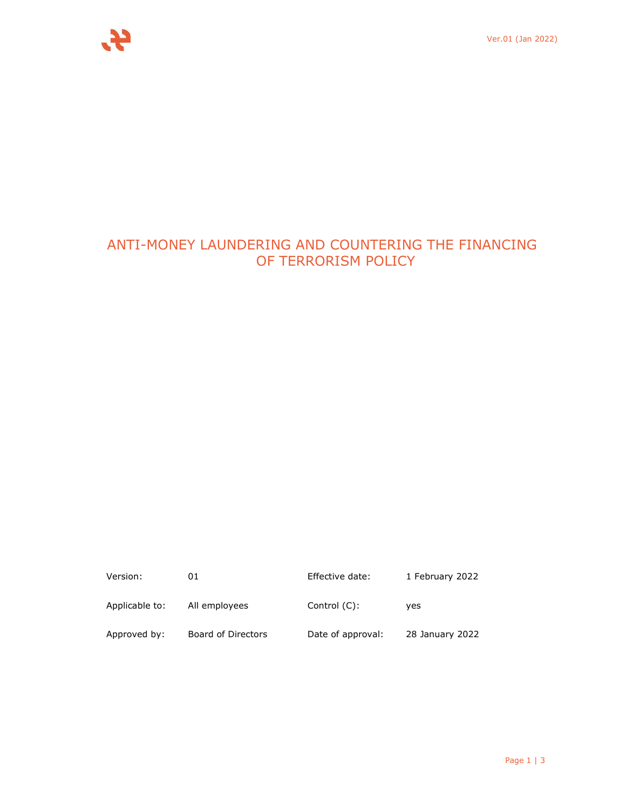

# ANTI-MONEY LAUNDERING AND COUNTERING THE FINANCING OF TERRORISM POLICY

| Version:       | 01                 | Effective date:   | 1 February 2022 |
|----------------|--------------------|-------------------|-----------------|
| Applicable to: | All employees      | Control $(C)$ :   | ves             |
| Approved by:   | Board of Directors | Date of approval: | 28 January 2022 |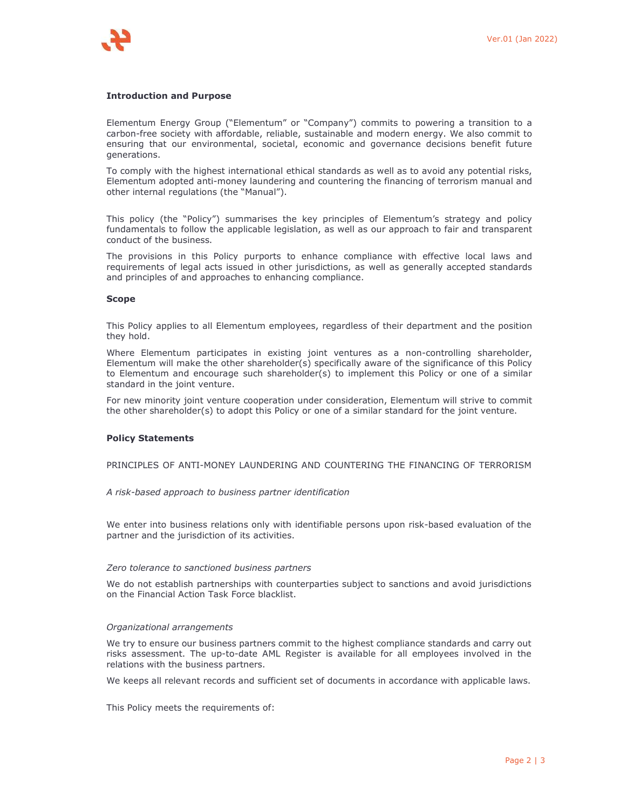## **Introduction and Purpose**

Elementum Energy Group ("Elementum" or "Company") commits to powering a transition to a carbon-free society with affordable, reliable, sustainable and modern energy. We also commit to ensuring that our environmental, societal, economic and governance decisions benefit future generations.

To comply with the highest international ethical standards as well as to avoid any potential risks, Elementum adopted anti-money laundering and countering the financing of terrorism manual and other internal regulations (the "Manual").

This policy (the "Policy") summarises the key principles of Elementum's strategy and policy fundamentals to follow the applicable legislation, as well as our approach to fair and transparent conduct of the business.

The provisions in this Policy purports to enhance compliance with effective local laws and requirements of legal acts issued in other jurisdictions, as well as generally accepted standards and principles of and approaches to enhancing compliance.

### **Scope**

This Policy applies to all Elementum employees, regardless of their department and the position they hold.

Where Elementum participates in existing joint ventures as a non-controlling shareholder, Elementum will make the other shareholder(s) specifically aware of the significance of this Policy to Elementum and encourage such shareholder(s) to implement this Policy or one of a similar standard in the joint venture.

For new minority joint venture cooperation under consideration, Elementum will strive to commit the other shareholder(s) to adopt this Policy or one of a similar standard for the joint venture.

#### **Policy Statements**

PRINCIPLES OF ANTI-MONEY LAUNDERING AND COUNTERING THE FINANCING OF TERRORISM

#### *A risk-based approach to business partner identification*

We enter into business relations only with identifiable persons upon risk-based evaluation of the partner and the jurisdiction of its activities.

#### *Zero tolerance to sanctioned business partners*

We do not establish partnerships with counterparties subject to sanctions and avoid jurisdictions on the Financial Action Task Force blacklist.

#### *Organizational arrangements*

We try to ensure our business partners commit to the highest compliance standards and carry out risks assessment. The up-to-date AML Register is available for all employees involved in the relations with the business partners.

We keeps all relevant records and sufficient set of documents in accordance with applicable laws.

This Policy meets the requirements of: